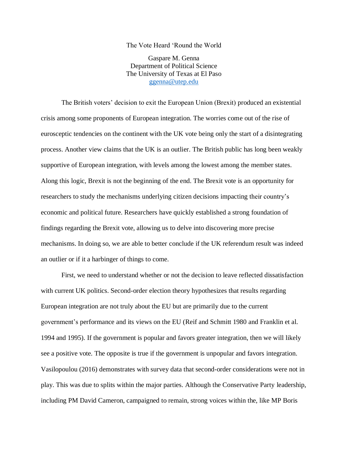## The Vote Heard 'Round the World

Gaspare M. Genna Department of Political Science The University of Texas at El Paso [ggenna@utep.edu](mailto:ggenna@utep.edu)

The British voters' decision to exit the European Union (Brexit) produced an existential crisis among some proponents of European integration. The worries come out of the rise of eurosceptic tendencies on the continent with the UK vote being only the start of a disintegrating process. Another view claims that the UK is an outlier. The British public has long been weakly supportive of European integration, with levels among the lowest among the member states. Along this logic, Brexit is not the beginning of the end. The Brexit vote is an opportunity for researchers to study the mechanisms underlying citizen decisions impacting their country's economic and political future. Researchers have quickly established a strong foundation of findings regarding the Brexit vote, allowing us to delve into discovering more precise mechanisms. In doing so, we are able to better conclude if the UK referendum result was indeed an outlier or if it a harbinger of things to come.

First, we need to understand whether or not the decision to leave reflected dissatisfaction with current UK politics. Second-order election theory hypothesizes that results regarding European integration are not truly about the EU but are primarily due to the current government's performance and its views on the EU (Reif and Schmitt 1980 and Franklin et al. 1994 and 1995). If the government is popular and favors greater integration, then we will likely see a positive vote. The opposite is true if the government is unpopular and favors integration. Vasilopoulou (2016) demonstrates with survey data that second-order considerations were not in play. This was due to splits within the major parties. Although the Conservative Party leadership, including PM David Cameron, campaigned to remain, strong voices within the, like MP Boris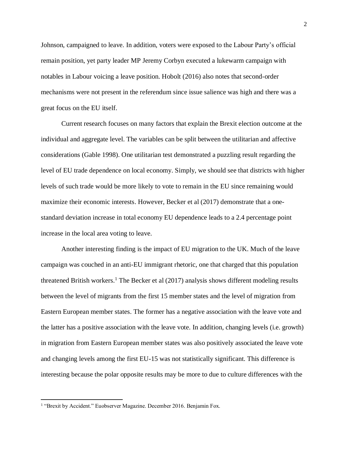Johnson, campaigned to leave. In addition, voters were exposed to the Labour Party's official remain position, yet party leader MP Jeremy Corbyn executed a lukewarm campaign with notables in Labour voicing a leave position. Hobolt (2016) also notes that second-order mechanisms were not present in the referendum since issue salience was high and there was a great focus on the EU itself.

Current research focuses on many factors that explain the Brexit election outcome at the individual and aggregate level. The variables can be split between the utilitarian and affective considerations (Gable 1998). One utilitarian test demonstrated a puzzling result regarding the level of EU trade dependence on local economy. Simply, we should see that districts with higher levels of such trade would be more likely to vote to remain in the EU since remaining would maximize their economic interests. However, Becker et al (2017) demonstrate that a onestandard deviation increase in total economy EU dependence leads to a 2.4 percentage point increase in the local area voting to leave.

Another interesting finding is the impact of EU migration to the UK. Much of the leave campaign was couched in an anti-EU immigrant rhetoric, one that charged that this population threatened British workers.<sup>1</sup> The Becker et al (2017) analysis shows different modeling results between the level of migrants from the first 15 member states and the level of migration from Eastern European member states. The former has a negative association with the leave vote and the latter has a positive association with the leave vote. In addition, changing levels (i.e. growth) in migration from Eastern European member states was also positively associated the leave vote and changing levels among the first EU-15 was not statistically significant. This difference is interesting because the polar opposite results may be more to due to culture differences with the

l

<sup>&</sup>lt;sup>1</sup> "Brexit by Accident." Euobserver Magazine. December 2016. Benjamin Fox.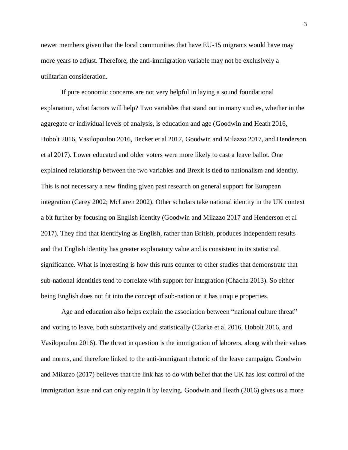newer members given that the local communities that have EU-15 migrants would have may more years to adjust. Therefore, the anti-immigration variable may not be exclusively a utilitarian consideration.

If pure economic concerns are not very helpful in laying a sound foundational explanation, what factors will help? Two variables that stand out in many studies, whether in the aggregate or individual levels of analysis, is education and age (Goodwin and Heath 2016, Hobolt 2016, Vasilopoulou 2016, Becker et al 2017, Goodwin and Milazzo 2017, and Henderson et al 2017). Lower educated and older voters were more likely to cast a leave ballot. One explained relationship between the two variables and Brexit is tied to nationalism and identity. This is not necessary a new finding given past research on general support for European integration (Carey 2002; McLaren 2002). Other scholars take national identity in the UK context a bit further by focusing on English identity (Goodwin and Milazzo 2017 and Henderson et al 2017). They find that identifying as English, rather than British, produces independent results and that English identity has greater explanatory value and is consistent in its statistical significance. What is interesting is how this runs counter to other studies that demonstrate that sub-national identities tend to correlate with support for integration (Chacha 2013). So either being English does not fit into the concept of sub-nation or it has unique properties.

Age and education also helps explain the association between "national culture threat" and voting to leave, both substantively and statistically (Clarke et al 2016, Hobolt 2016, and Vasilopoulou 2016). The threat in question is the immigration of laborers, along with their values and norms, and therefore linked to the anti-immigrant rhetoric of the leave campaign. Goodwin and Milazzo (2017) believes that the link has to do with belief that the UK has lost control of the immigration issue and can only regain it by leaving. Goodwin and Heath (2016) gives us a more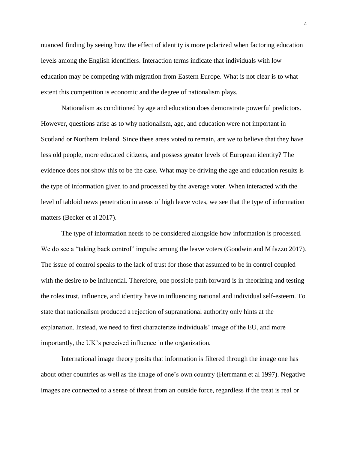nuanced finding by seeing how the effect of identity is more polarized when factoring education levels among the English identifiers. Interaction terms indicate that individuals with low education may be competing with migration from Eastern Europe. What is not clear is to what extent this competition is economic and the degree of nationalism plays.

Nationalism as conditioned by age and education does demonstrate powerful predictors. However, questions arise as to why nationalism, age, and education were not important in Scotland or Northern Ireland. Since these areas voted to remain, are we to believe that they have less old people, more educated citizens, and possess greater levels of European identity? The evidence does not show this to be the case. What may be driving the age and education results is the type of information given to and processed by the average voter. When interacted with the level of tabloid news penetration in areas of high leave votes, we see that the type of information matters (Becker et al 2017).

The type of information needs to be considered alongside how information is processed. We do see a "taking back control" impulse among the leave voters (Goodwin and Milazzo 2017). The issue of control speaks to the lack of trust for those that assumed to be in control coupled with the desire to be influential. Therefore, one possible path forward is in theorizing and testing the roles trust, influence, and identity have in influencing national and individual self-esteem. To state that nationalism produced a rejection of supranational authority only hints at the explanation. Instead, we need to first characterize individuals' image of the EU, and more importantly, the UK's perceived influence in the organization.

International image theory posits that information is filtered through the image one has about other countries as well as the image of one's own country (Herrmann et al 1997). Negative images are connected to a sense of threat from an outside force, regardless if the treat is real or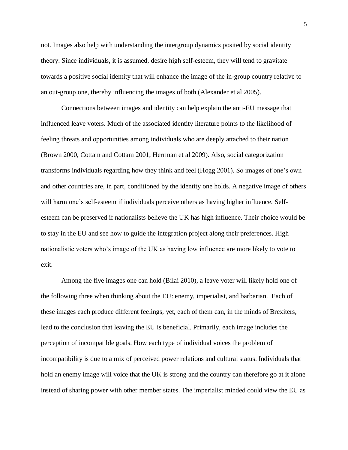not. Images also help with understanding the intergroup dynamics posited by social identity theory. Since individuals, it is assumed, desire high self-esteem, they will tend to gravitate towards a positive social identity that will enhance the image of the in-group country relative to an out-group one, thereby influencing the images of both (Alexander et al 2005).

Connections between images and identity can help explain the anti-EU message that influenced leave voters. Much of the associated identity literature points to the likelihood of feeling threats and opportunities among individuals who are deeply attached to their nation (Brown 2000, Cottam and Cottam 2001, Herrman et al 2009). Also, social categorization transforms individuals regarding how they think and feel (Hogg 2001). So images of one's own and other countries are, in part, conditioned by the identity one holds. A negative image of others will harm one's self-esteem if individuals perceive others as having higher influence. Selfesteem can be preserved if nationalists believe the UK has high influence. Their choice would be to stay in the EU and see how to guide the integration project along their preferences. High nationalistic voters who's image of the UK as having low influence are more likely to vote to exit.

Among the five images one can hold (Bilai 2010), a leave voter will likely hold one of the following three when thinking about the EU: enemy, imperialist, and barbarian. Each of these images each produce different feelings, yet, each of them can, in the minds of Brexiters, lead to the conclusion that leaving the EU is beneficial. Primarily, each image includes the perception of incompatible goals. How each type of individual voices the problem of incompatibility is due to a mix of perceived power relations and cultural status. Individuals that hold an enemy image will voice that the UK is strong and the country can therefore go at it alone instead of sharing power with other member states. The imperialist minded could view the EU as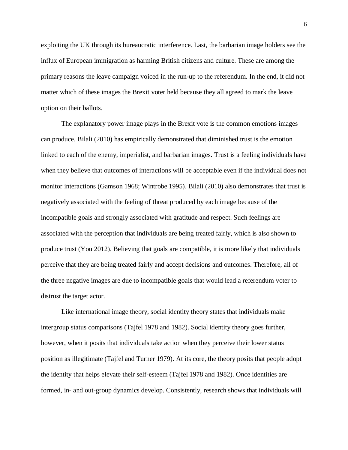exploiting the UK through its bureaucratic interference. Last, the barbarian image holders see the influx of European immigration as harming British citizens and culture. These are among the primary reasons the leave campaign voiced in the run-up to the referendum. In the end, it did not matter which of these images the Brexit voter held because they all agreed to mark the leave option on their ballots.

The explanatory power image plays in the Brexit vote is the common emotions images can produce. Bilali (2010) has empirically demonstrated that diminished trust is the emotion linked to each of the enemy, imperialist, and barbarian images. Trust is a feeling individuals have when they believe that outcomes of interactions will be acceptable even if the individual does not monitor interactions (Gamson 1968; Wintrobe 1995). Bilali (2010) also demonstrates that trust is negatively associated with the feeling of threat produced by each image because of the incompatible goals and strongly associated with gratitude and respect. Such feelings are associated with the perception that individuals are being treated fairly, which is also shown to produce trust (You 2012). Believing that goals are compatible, it is more likely that individuals perceive that they are being treated fairly and accept decisions and outcomes. Therefore, all of the three negative images are due to incompatible goals that would lead a referendum voter to distrust the target actor.

Like international image theory, social identity theory states that individuals make intergroup status comparisons (Tajfel 1978 and 1982). Social identity theory goes further, however, when it posits that individuals take action when they perceive their lower status position as illegitimate (Tajfel and Turner 1979). At its core, the theory posits that people adopt the identity that helps elevate their self-esteem (Tajfel 1978 and 1982). Once identities are formed, in- and out-group dynamics develop. Consistently, research shows that individuals will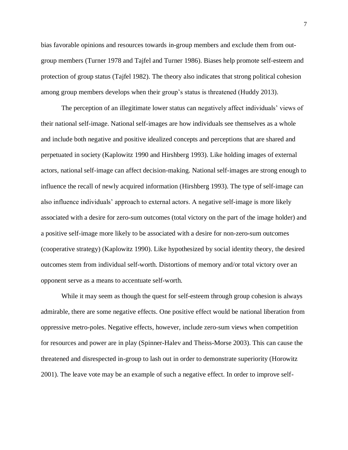bias favorable opinions and resources towards in-group members and exclude them from outgroup members (Turner 1978 and Tajfel and Turner 1986). Biases help promote self-esteem and protection of group status (Tajfel 1982). The theory also indicates that strong political cohesion among group members develops when their group's status is threatened (Huddy 2013).

The perception of an illegitimate lower status can negatively affect individuals' views of their national self-image. National self-images are how individuals see themselves as a whole and include both negative and positive idealized concepts and perceptions that are shared and perpetuated in society (Kaplowitz 1990 and Hirshberg 1993). Like holding images of external actors, national self-image can affect decision-making. National self-images are strong enough to influence the recall of newly acquired information (Hirshberg 1993). The type of self-image can also influence individuals' approach to external actors. A negative self-image is more likely associated with a desire for zero-sum outcomes (total victory on the part of the image holder) and a positive self-image more likely to be associated with a desire for non-zero-sum outcomes (cooperative strategy) (Kaplowitz 1990). Like hypothesized by social identity theory, the desired outcomes stem from individual self-worth. Distortions of memory and/or total victory over an opponent serve as a means to accentuate self-worth.

While it may seem as though the quest for self-esteem through group cohesion is always admirable, there are some negative effects. One positive effect would be national liberation from oppressive metro-poles. Negative effects, however, include zero-sum views when competition for resources and power are in play (Spinner-Halev and Theiss-Morse 2003). This can cause the threatened and disrespected in-group to lash out in order to demonstrate superiority (Horowitz 2001). The leave vote may be an example of such a negative effect. In order to improve self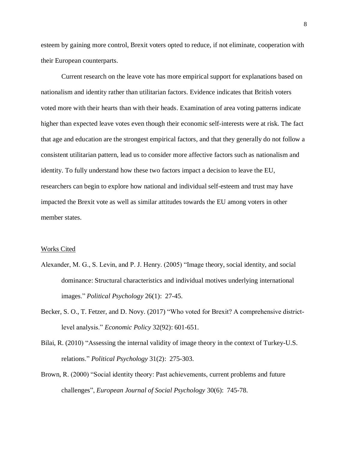esteem by gaining more control, Brexit voters opted to reduce, if not eliminate, cooperation with their European counterparts.

Current research on the leave vote has more empirical support for explanations based on nationalism and identity rather than utilitarian factors. Evidence indicates that British voters voted more with their hearts than with their heads. Examination of area voting patterns indicate higher than expected leave votes even though their economic self-interests were at risk. The fact that age and education are the strongest empirical factors, and that they generally do not follow a consistent utilitarian pattern, lead us to consider more affective factors such as nationalism and identity. To fully understand how these two factors impact a decision to leave the EU, researchers can begin to explore how national and individual self-esteem and trust may have impacted the Brexit vote as well as similar attitudes towards the EU among voters in other member states.

## Works Cited

- Alexander, M. G., S. Levin, and P. J. Henry. (2005) "Image theory, social identity, and social dominance: Structural characteristics and individual motives underlying international images." *Political Psychology* 26(1): 27-45.
- Becker, S. O., T. Fetzer, and D. Novy. (2017) "Who voted for Brexit? A comprehensive districtlevel analysis." *Economic Policy* 32(92): 601-651.
- Bilai, R. (2010) "Assessing the internal validity of image theory in the context of Turkey-U.S. relations." *Political Psychology* 31(2): 275-303.
- Brown, R. (2000) "Social identity theory: Past achievements, current problems and future challenges", *European Journal of Social Psychology* 30(6): 745-78.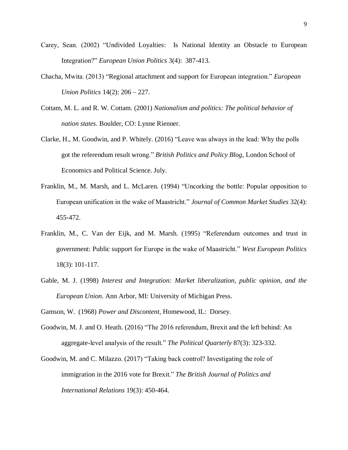- Carey, Sean. (2002) "Undivided Loyalties: Is National Identity an Obstacle to European Integration?" *European Union Politics* 3(4): 387-413.
- Chacha, Mwita. (2013) "Regional attachment and support for European integration." *European Union Politics* 14(2): 206 – 227.
- Cottam, M. L. and R. W. Cottam. (2001) *Nationalism and politics: The political behavior of nation states*. Boulder, CO: Lynne Rienner.
- Clarke, H., M. Goodwin, and P. Whitely. (2016) "Leave was always in the lead: Why the polls got the referendum result wrong." *British Politics and Policy Blog*, London School of Economics and Political Science. July.
- Franklin, M., M. Marsh, and L. McLaren. (1994) "Uncorking the bottle: Popular opposition to European unification in the wake of Maastricht." *Journal of Common Market Studies* 32(4): 455-472.
- Franklin, M., C. Van der Eijk, and M. Marsh. (1995) "Referendum outcomes and trust in government: Public support for Europe in the wake of Maastricht." *West European Politics* 18(3): 101-117.
- Gable, M. J. (1998) *Interest and Integration: Market liberalization, public opinion, and the European Union*. Ann Arbor, MI: University of Michigan Press.
- Gamson, W. (1968) *Power and Discontent*, Homewood, IL: Dorsey.
- Goodwin, M. J. and O. Heath. (2016) "The 2016 referendum, Brexit and the left behind: An aggregate-level analysis of the result." *The Political Quarterly* 87(3): 323-332.
- Goodwin, M. and C. Milazzo. (2017) "Taking back control? Investigating the role of immigration in the 2016 vote for Brexit." *The British Journal of Politics and International Relations* 19(3): 450-464.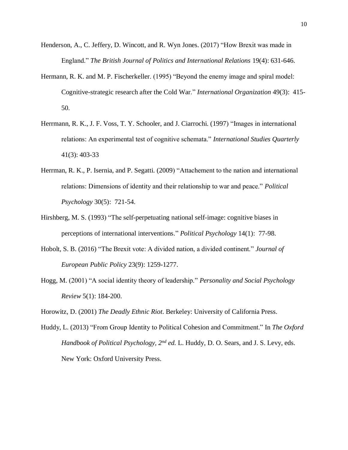- Henderson, A., C. Jeffery, D. Wincott, and R. Wyn Jones. (2017) "How Brexit was made in England." *The British Journal of Politics and International Relations* 19(4): 631-646.
- Hermann, R. K. and M. P. Fischerkeller. (1995) "Beyond the enemy image and spiral model: Cognitive-strategic research after the Cold War." *International Organization* 49(3): 415- 50.
- Herrmann, R. K., J. F. Voss, T. Y. Schooler, and J. Ciarrochi. (1997) "Images in international relations: An experimental test of cognitive schemata." *International Studies Quarterly* 41(3): 403-33
- Herrman, R. K., P. Isernia, and P. Segatti. (2009) "Attachement to the nation and international relations: Dimensions of identity and their relationship to war and peace." *Political Psychology* 30(5): 721-54.
- Hirshberg, M. S. (1993) "The self-perpetuating national self-image: cognitive biases in perceptions of international interventions." *Political Psychology* 14(1): 77-98.
- Hobolt, S. B. (2016) "The Brexit vote: A divided nation, a divided continent." *Journal of European Public Policy* 23(9): 1259-1277.
- Hogg, M. (2001) "A social identity theory of leadership." *Personality and Social Psychology Review* 5(1): 184-200.

Horowitz, D. (2001) *The Deadly Ethnic Riot*. Berkeley: University of California Press.

Huddy, L. (2013) "From Group Identity to Political Cohesion and Commitment." In *The Oxford Handbook of Political Psychology, 2nd ed.* L. Huddy, D. O. Sears, and J. S. Levy, eds. New York: Oxford University Press.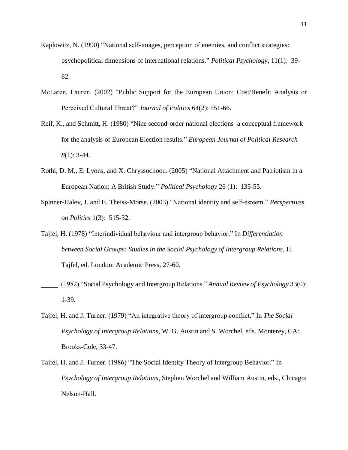- Kaplowitz, N. (1990) "National self-images, perception of enemies, and conflict strategies: psychopolitical dimensions of international relations." *Political Psychology*, 11(1): 39- 82.
- McLaren, Lauren. (2002) "Public Support for the European Union: Cost/Benefit Analysis or Perceived Cultural Threat?" *Journal of Politics* 64(2): 551-66.
- Reif, K., and Schmitt, H. (1980) "Nine second‐order national elections–a conceptual framework for the analysis of European Election results." *European Journal of Political Research 8*(1): 3-44.
- Rothì, D. M., E. Lyons, and X. Chryssochoou. (2005) "National Attachment and Patriotism in a European Nation: A British Study." *Political Psychology* 26 (1): 135-55.
- Spinner-Halev, J. and E. Theiss-Morse. (2003) "National identity and self-esteem." *Perspectives on Politics* 1(3): 515-32.
- Tajfel, H. (1978) "Interindividual behaviour and intergroup behavior." In *Differentiation between Social Groups: Studies in the Social Psychology of Intergroup Relations*, H. Tajfel, ed. London: Academic Press, 27-60.
- \_\_\_\_\_. (1982) "Social Psychology and Intergroup Relations." *Annual Review of Psychology* 33(0): 1-39.
- Tajfel, H. and J. Turner. (1979) "An integrative theory of intergroup conflict." In *The Social Psychology of Intergroup Relations*, W. G. Austin and S. Worchel, eds. Monterey, CA: Brooks-Cole, 33-47.
- Tajfel, H. and J. Turner. (1986) "The Social Identity Theory of Intergroup Behavior." In *Psychology of Intergroup Relations*, Stephen Worchel and William Austin, eds., Chicago: Nelson-Hall.